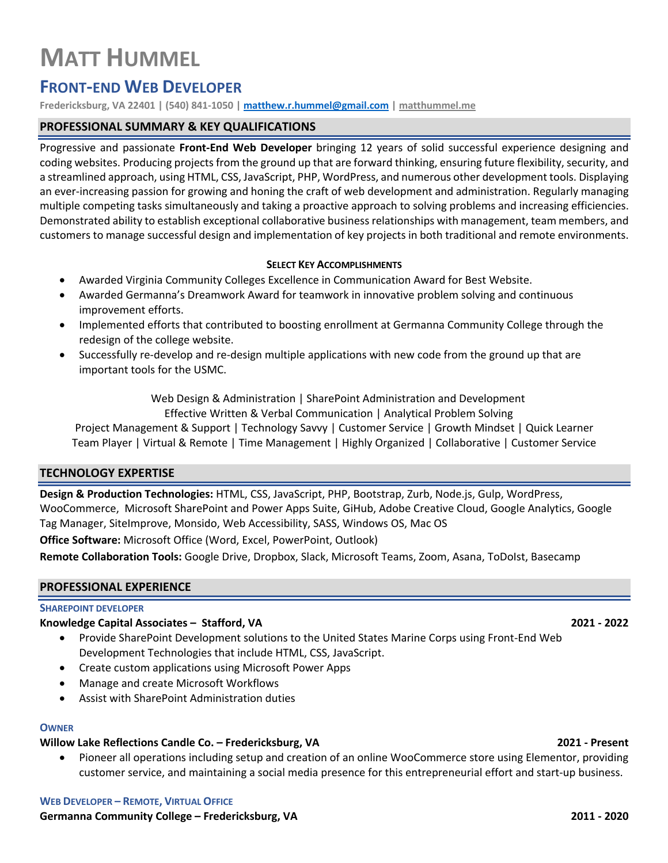# **MATT HUMMEL**

## **FRONT-END WEB DEVELOPER**

**Fredericksburg, VA 22401 | (540) 841-1050 | matthew.r.hummel@gmail.com | matthummel.me**

#### **PROFESSIONAL SUMMARY & KEY QUALIFICATIONS**

Progressive and passionate **Front-End Web Developer** bringing 12 years of solid successful experience designing and coding websites. Producing projects from the ground up that are forward thinking, ensuring future flexibility, security, and a streamlined approach, using HTML, CSS, JavaScript, PHP, WordPress, and numerous other development tools. Displaying an ever-increasing passion for growing and honing the craft of web development and administration. Regularly managing multiple competing tasks simultaneously and taking a proactive approach to solving problems and increasing efficiencies. Demonstrated ability to establish exceptional collaborative business relationships with management, team members, and customers to manage successful design and implementation of key projects in both traditional and remote environments.

#### **SELECT KEY ACCOMPLISHMENTS**

- Awarded Virginia Community Colleges Excellence in Communication Award for Best Website.
- Awarded Germanna's Dreamwork Award for teamwork in innovative problem solving and continuous improvement efforts.
- Implemented efforts that contributed to boosting enrollment at Germanna Community College through the redesign of the college website.
- Successfully re-develop and re-design multiple applications with new code from the ground up that are important tools for the USMC.

 Web Design & Administration | SharePoint Administration and Development Effective Written & Verbal Communication | Analytical Problem Solving

Project Management & Support | Technology Savvy | Customer Service | Growth Mindset | Quick Learner Team Player | Virtual & Remote | Time Management | Highly Organized | Collaborative | Customer Service

#### **TECHNOLOGY EXPERTISE**

**Design & Production Technologies:** HTML, CSS, JavaScript, PHP, Bootstrap, Zurb, Node.js, Gulp, WordPress, WooCommerce, Microsoft SharePoint and Power Apps Suite, GiHub, Adobe Creative Cloud, Google Analytics, Google Tag Manager, SiteImprove, Monsido, Web Accessibility, SASS, Windows OS, Mac OS

**Office Software:** Microsoft Office (Word, Excel, PowerPoint, Outlook)

**Remote Collaboration Tools:** Google Drive, Dropbox, Slack, Microsoft Teams, Zoom, Asana, ToDoIst, Basecamp

#### **PROFESSIONAL EXPERIENCE**

#### **SHAREPOINT DEVELOPER**

### **Knowledge Capital Associates – Stafford, VA 2021 - 2022**

- Provide SharePoint Development solutions to the United States Marine Corps using Front-End Web Development Technologies that include HTML, CSS, JavaScript.
- Create custom applications using Microsoft Power Apps
- Manage and create Microsoft Workflows
- Assist with SharePoint Administration duties

### **OWNER**

### **Willow Lake Reflections Candle Co. – Fredericksburg, VA 2021 - Present**

• Pioneer all operations including setup and creation of an online WooCommerce store using Elementor, providing customer service, and maintaining a social media presence for this entrepreneurial effort and start-up business.